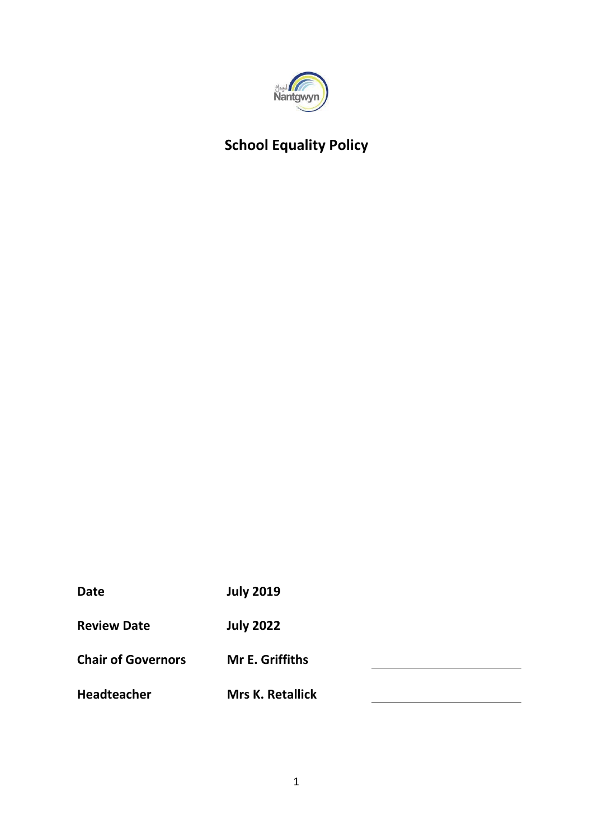

# **School Equality Policy**

| <b>Date</b>               | <b>July 2019</b>        |  |
|---------------------------|-------------------------|--|
| <b>Review Date</b>        | <b>July 2022</b>        |  |
| <b>Chair of Governors</b> | <b>Mr E. Griffiths</b>  |  |
| <b>Headteacher</b>        | <b>Mrs K. Retallick</b> |  |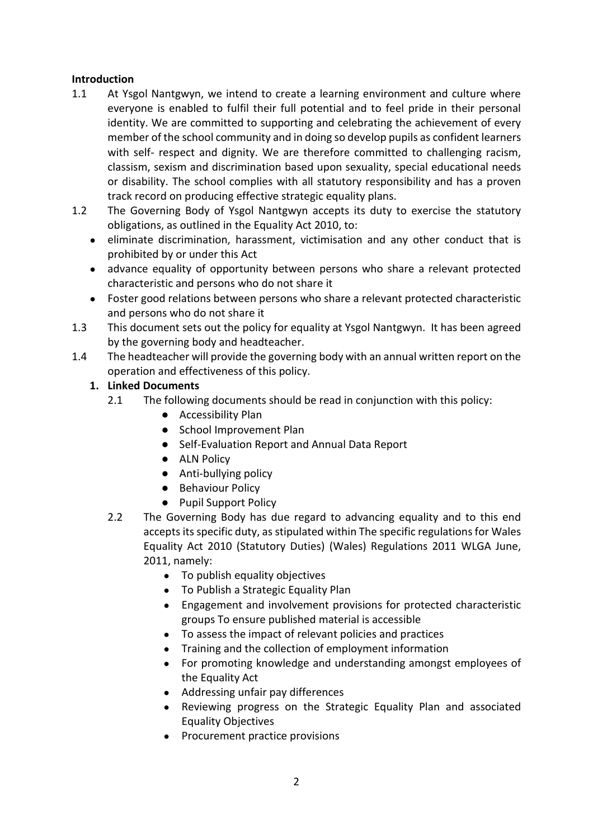#### **Introduction**

- 1.1 At Ysgol Nantgwyn, we intend to create a learning environment and culture where everyone is enabled to fulfil their full potential and to feel pride in their personal identity. We are committed to supporting and celebrating the achievement of every member of the school community and in doing so develop pupils as confident learners with self- respect and dignity. We are therefore committed to challenging racism, classism, sexism and discrimination based upon sexuality, special educational needs or disability. The school complies with all statutory responsibility and has a proven track record on producing effective strategic equality plans.
- 1.2 The Governing Body of Ysgol Nantgwyn accepts its duty to exercise the statutory obligations, as outlined in the Equality Act 2010, to:
	- eliminate discrimination, harassment, victimisation and any other conduct that is prohibited by or under this Act
	- advance equality of opportunity between persons who share a relevant protected characteristic and persons who do not share it
	- Foster good relations between persons who share a relevant protected characteristic and persons who do not share it
- 1.3 This document sets out the policy for equality at Ysgol Nantgwyn. It has been agreed by the governing body and headteacher.
- 1.4 The headteacher will provide the governing body with an annual written report on the operation and effectiveness of this policy.

## **1. Linked Documents**

- 2.1 The following documents should be read in conjunction with this policy:
	- Accessibility Plan
	- School Improvement Plan
	- Self-Evaluation Report and Annual Data Report
	- ALN Policy
	- Anti-bullying policy
	- Behaviour Policy
	- Pupil Support Policy
- 2.2 The Governing Body has due regard to advancing equality and to this end accepts its specific duty, as stipulated within The specific regulations for Wales Equality Act 2010 (Statutory Duties) (Wales) Regulations 2011 WLGA June, 2011, namely:
	- To publish equality objectives
	- To Publish a Strategic Equality Plan
	- Engagement and involvement provisions for protected characteristic groups To ensure published material is accessible
	- To assess the impact of relevant policies and practices
	- Training and the collection of employment information
	- For promoting knowledge and understanding amongst employees of the Equality Act
	- Addressing unfair pay differences
	- Reviewing progress on the Strategic Equality Plan and associated Equality Objectives
	- Procurement practice provisions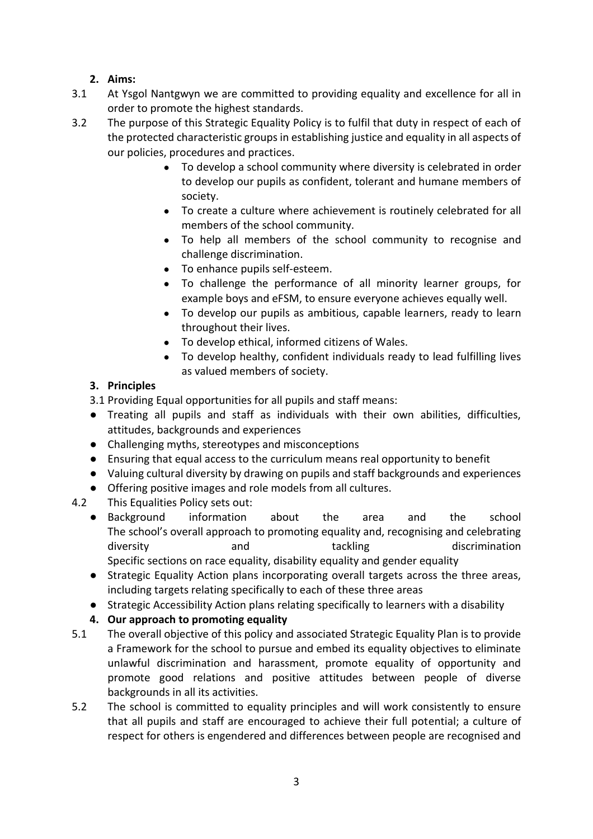## **2. Aims:**

- 3.1 At Ysgol Nantgwyn we are committed to providing equality and excellence for all in order to promote the highest standards.
- 3.2 The purpose of this Strategic Equality Policy is to fulfil that duty in respect of each of the protected characteristic groups in establishing justice and equality in all aspects of our policies, procedures and practices.
	- To develop a school community where diversity is celebrated in order to develop our pupils as confident, tolerant and humane members of society.
	- To create a culture where achievement is routinely celebrated for all members of the school community.
	- To help all members of the school community to recognise and challenge discrimination.
	- To enhance pupils self-esteem.
	- To challenge the performance of all minority learner groups, for example boys and eFSM, to ensure everyone achieves equally well.
	- To develop our pupils as ambitious, capable learners, ready to learn throughout their lives.
	- To develop ethical, informed citizens of Wales.
	- To develop healthy, confident individuals ready to lead fulfilling lives as valued members of society.

## **3. Principles**

- 3.1 Providing Equal opportunities for all pupils and staff means:
- Treating all pupils and staff as individuals with their own abilities, difficulties, attitudes, backgrounds and experiences
- Challenging myths, stereotypes and misconceptions
- Ensuring that equal access to the curriculum means real opportunity to benefit
- Valuing cultural diversity by drawing on pupils and staff backgrounds and experiences
- Offering positive images and role models from all cultures.
- 4.2 This Equalities Policy sets out:
	- Background information about the area and the school The school's overall approach to promoting equality and, recognising and celebrating diversity and tackling discrimination Specific sections on race equality, disability equality and gender equality
	- Strategic Equality Action plans incorporating overall targets across the three areas, including targets relating specifically to each of these three areas
	- Strategic Accessibility Action plans relating specifically to learners with a disability

# **4. Our approach to promoting equality**

- 5.1 The overall objective of this policy and associated Strategic Equality Plan is to provide a Framework for the school to pursue and embed its equality objectives to eliminate unlawful discrimination and harassment, promote equality of opportunity and promote good relations and positive attitudes between people of diverse backgrounds in all its activities.
- 5.2 The school is committed to equality principles and will work consistently to ensure that all pupils and staff are encouraged to achieve their full potential; a culture of respect for others is engendered and differences between people are recognised and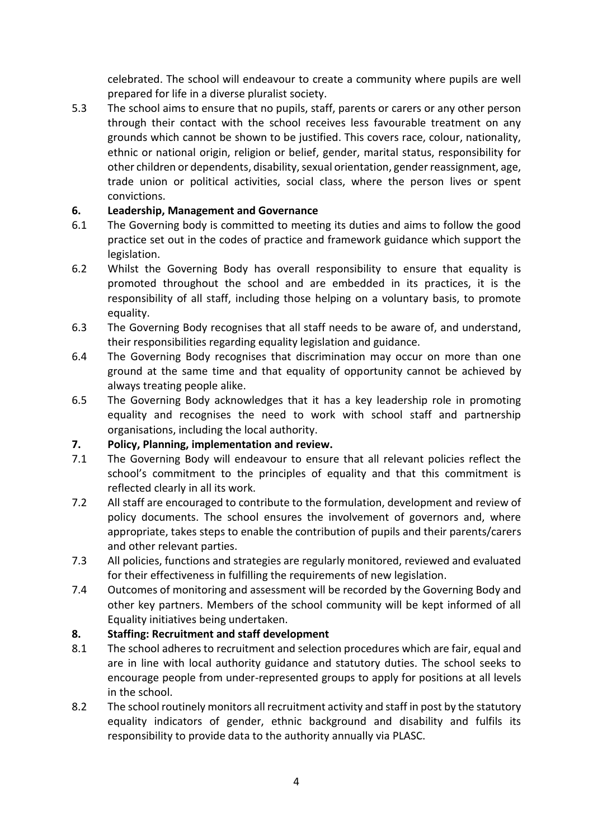celebrated. The school will endeavour to create a community where pupils are well prepared for life in a diverse pluralist society.

5.3 The school aims to ensure that no pupils, staff, parents or carers or any other person through their contact with the school receives less favourable treatment on any grounds which cannot be shown to be justified. This covers race, colour, nationality, ethnic or national origin, religion or belief, gender, marital status, responsibility for other children or dependents, disability, sexual orientation, gender reassignment, age, trade union or political activities, social class, where the person lives or spent convictions.

#### **6. Leadership, Management and Governance**

- 6.1 The Governing body is committed to meeting its duties and aims to follow the good practice set out in the codes of practice and framework guidance which support the legislation.
- 6.2 Whilst the Governing Body has overall responsibility to ensure that equality is promoted throughout the school and are embedded in its practices, it is the responsibility of all staff, including those helping on a voluntary basis, to promote equality.
- 6.3 The Governing Body recognises that all staff needs to be aware of, and understand, their responsibilities regarding equality legislation and guidance.
- 6.4 The Governing Body recognises that discrimination may occur on more than one ground at the same time and that equality of opportunity cannot be achieved by always treating people alike.
- 6.5 The Governing Body acknowledges that it has a key leadership role in promoting equality and recognises the need to work with school staff and partnership organisations, including the local authority.

#### **7. Policy, Planning, implementation and review.**

- 7.1 The Governing Body will endeavour to ensure that all relevant policies reflect the school's commitment to the principles of equality and that this commitment is reflected clearly in all its work.
- 7.2 All staff are encouraged to contribute to the formulation, development and review of policy documents. The school ensures the involvement of governors and, where appropriate, takes steps to enable the contribution of pupils and their parents/carers and other relevant parties.
- 7.3 All policies, functions and strategies are regularly monitored, reviewed and evaluated for their effectiveness in fulfilling the requirements of new legislation.
- 7.4 Outcomes of monitoring and assessment will be recorded by the Governing Body and other key partners. Members of the school community will be kept informed of all Equality initiatives being undertaken.

#### **8. Staffing: Recruitment and staff development**

- 8.1 The school adheres to recruitment and selection procedures which are fair, equal and are in line with local authority guidance and statutory duties. The school seeks to encourage people from under-represented groups to apply for positions at all levels in the school.
- 8.2 The school routinely monitors all recruitment activity and staff in post by the statutory equality indicators of gender, ethnic background and disability and fulfils its responsibility to provide data to the authority annually via PLASC.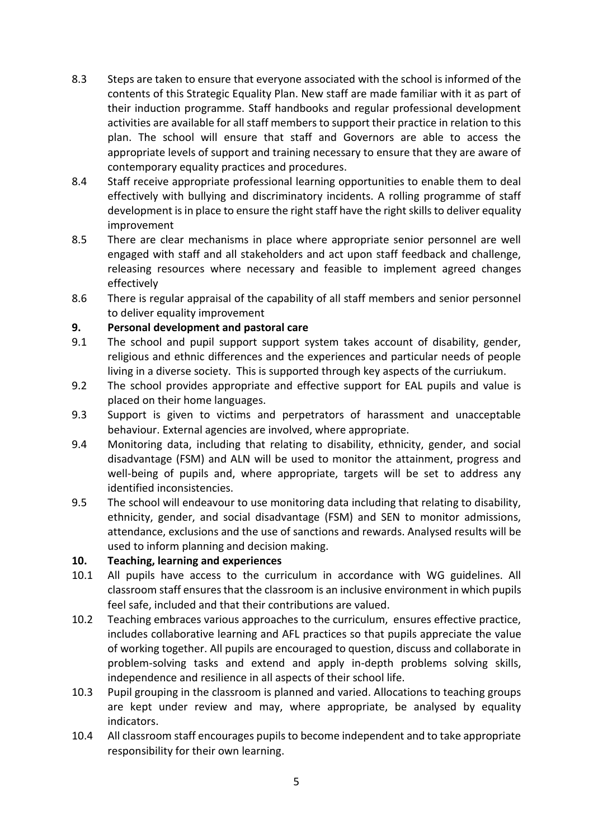- 8.3 Steps are taken to ensure that everyone associated with the school is informed of the contents of this Strategic Equality Plan. New staff are made familiar with it as part of their induction programme. Staff handbooks and regular professional development activities are available for all staff members to support their practice in relation to this plan. The school will ensure that staff and Governors are able to access the appropriate levels of support and training necessary to ensure that they are aware of contemporary equality practices and procedures.
- 8.4 Staff receive appropriate professional learning opportunities to enable them to deal effectively with bullying and discriminatory incidents. A rolling programme of staff development is in place to ensure the right staff have the right skills to deliver equality improvement
- 8.5 There are clear mechanisms in place where appropriate senior personnel are well engaged with staff and all stakeholders and act upon staff feedback and challenge, releasing resources where necessary and feasible to implement agreed changes effectively
- 8.6 There is regular appraisal of the capability of all staff members and senior personnel to deliver equality improvement

#### **9. Personal development and pastoral care**

- 9.1 The school and pupil support support system takes account of disability, gender, religious and ethnic differences and the experiences and particular needs of people living in a diverse society. This is supported through key aspects of the curriukum.
- 9.2 The school provides appropriate and effective support for EAL pupils and value is placed on their home languages.
- 9.3 Support is given to victims and perpetrators of harassment and unacceptable behaviour. External agencies are involved, where appropriate.
- 9.4 Monitoring data, including that relating to disability, ethnicity, gender, and social disadvantage (FSM) and ALN will be used to monitor the attainment, progress and well-being of pupils and, where appropriate, targets will be set to address any identified inconsistencies.
- 9.5 The school will endeavour to use monitoring data including that relating to disability, ethnicity, gender, and social disadvantage (FSM) and SEN to monitor admissions, attendance, exclusions and the use of sanctions and rewards. Analysed results will be used to inform planning and decision making.

#### **10. Teaching, learning and experiences**

- 10.1 All pupils have access to the curriculum in accordance with WG guidelines. All classroom staff ensures that the classroom is an inclusive environment in which pupils feel safe, included and that their contributions are valued.
- 10.2 Teaching embraces various approaches to the curriculum, ensures effective practice, includes collaborative learning and AFL practices so that pupils appreciate the value of working together. All pupils are encouraged to question, discuss and collaborate in problem-solving tasks and extend and apply in-depth problems solving skills, independence and resilience in all aspects of their school life.
- 10.3 Pupil grouping in the classroom is planned and varied. Allocations to teaching groups are kept under review and may, where appropriate, be analysed by equality indicators.
- 10.4 All classroom staff encourages pupils to become independent and to take appropriate responsibility for their own learning.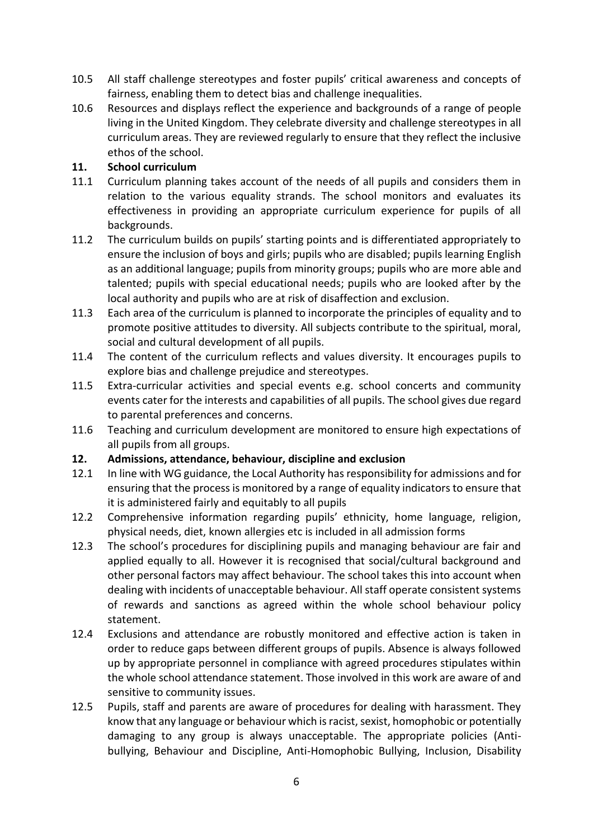- 10.5 All staff challenge stereotypes and foster pupils' critical awareness and concepts of fairness, enabling them to detect bias and challenge inequalities.
- 10.6 Resources and displays reflect the experience and backgrounds of a range of people living in the United Kingdom. They celebrate diversity and challenge stereotypes in all curriculum areas. They are reviewed regularly to ensure that they reflect the inclusive ethos of the school.

#### **11. School curriculum**

- 11.1 Curriculum planning takes account of the needs of all pupils and considers them in relation to the various equality strands. The school monitors and evaluates its effectiveness in providing an appropriate curriculum experience for pupils of all backgrounds.
- 11.2 The curriculum builds on pupils' starting points and is differentiated appropriately to ensure the inclusion of boys and girls; pupils who are disabled; pupils learning English as an additional language; pupils from minority groups; pupils who are more able and talented; pupils with special educational needs; pupils who are looked after by the local authority and pupils who are at risk of disaffection and exclusion.
- 11.3 Each area of the curriculum is planned to incorporate the principles of equality and to promote positive attitudes to diversity. All subjects contribute to the spiritual, moral, social and cultural development of all pupils.
- 11.4 The content of the curriculum reflects and values diversity. It encourages pupils to explore bias and challenge prejudice and stereotypes.
- 11.5 Extra-curricular activities and special events e.g. school concerts and community events cater for the interests and capabilities of all pupils. The school gives due regard to parental preferences and concerns.
- 11.6 Teaching and curriculum development are monitored to ensure high expectations of all pupils from all groups.

#### **12. Admissions, attendance, behaviour, discipline and exclusion**

- 12.1 In line with WG guidance, the Local Authority has responsibility for admissions and for ensuring that the process is monitored by a range of equality indicators to ensure that it is administered fairly and equitably to all pupils
- 12.2 Comprehensive information regarding pupils' ethnicity, home language, religion, physical needs, diet, known allergies etc is included in all admission forms
- 12.3 The school's procedures for disciplining pupils and managing behaviour are fair and applied equally to all. However it is recognised that social/cultural background and other personal factors may affect behaviour. The school takes this into account when dealing with incidents of unacceptable behaviour. All staff operate consistent systems of rewards and sanctions as agreed within the whole school behaviour policy statement.
- 12.4 Exclusions and attendance are robustly monitored and effective action is taken in order to reduce gaps between different groups of pupils. Absence is always followed up by appropriate personnel in compliance with agreed procedures stipulates within the whole school attendance statement. Those involved in this work are aware of and sensitive to community issues.
- 12.5 Pupils, staff and parents are aware of procedures for dealing with harassment. They know that any language or behaviour which is racist, sexist, homophobic or potentially damaging to any group is always unacceptable. The appropriate policies (Antibullying, Behaviour and Discipline, Anti-Homophobic Bullying, Inclusion, Disability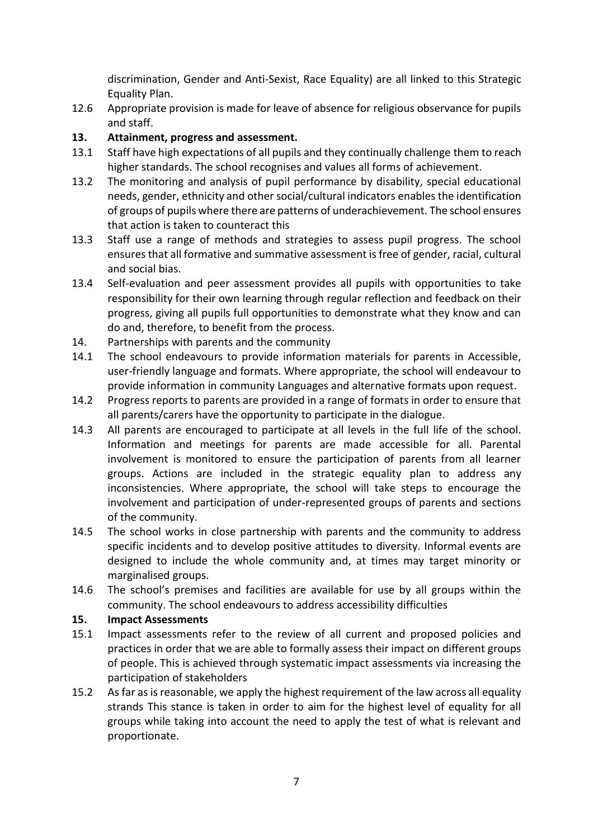discrimination, Gender and Anti-Sexist, Race Equality) are all linked to this Strategic Equality Plan.

12.6 Appropriate provision is made for leave of absence for religious observance for pupils and staff.

#### **13. Attainment, progress and assessment.**

- 13.1 Staff have high expectations of all pupils and they continually challenge them to reach higher standards. The school recognises and values all forms of achievement.
- 13.2 The monitoring and analysis of pupil performance by disability, special educational needs, gender, ethnicity and other social/cultural indicators enables the identification of groups of pupils where there are patterns of underachievement. The school ensures that action is taken to counteract this
- 13.3 Staff use a range of methods and strategies to assess pupil progress. The school ensures that all formative and summative assessment is free of gender, racial, cultural and social bias.
- 13.4 Self-evaluation and peer assessment provides all pupils with opportunities to take responsibility for their own learning through regular reflection and feedback on their progress, giving all pupils full opportunities to demonstrate what they know and can do and, therefore, to benefit from the process.
- 14. Partnerships with parents and the community
- 14.1 The school endeavours to provide information materials for parents in Accessible, user-friendly language and formats. Where appropriate, the school will endeavour to provide information in community Languages and alternative formats upon request.
- 14.2 Progress reports to parents are provided in a range of formats in order to ensure that all parents/carers have the opportunity to participate in the dialogue.
- 14.3 All parents are encouraged to participate at all levels in the full life of the school. Information and meetings for parents are made accessible for all. Parental involvement is monitored to ensure the participation of parents from all learner groups. Actions are included in the strategic equality plan to address any inconsistencies. Where appropriate, the school will take steps to encourage the involvement and participation of under-represented groups of parents and sections of the community.
- 14.5 The school works in close partnership with parents and the community to address specific incidents and to develop positive attitudes to diversity. Informal events are designed to include the whole community and, at times may target minority or marginalised groups.
- 14.6 The school's premises and facilities are available for use by all groups within the community. The school endeavours to address accessibility difficulties

#### **15. Impact Assessments**

- 15.1 Impact assessments refer to the review of all current and proposed policies and practices in order that we are able to formally assess their impact on different groups of people. This is achieved through systematic impact assessments via increasing the participation of stakeholders
- 15.2 As far as is reasonable, we apply the highest requirement of the law across all equality strands This stance is taken in order to aim for the highest level of equality for all groups while taking into account the need to apply the test of what is relevant and proportionate.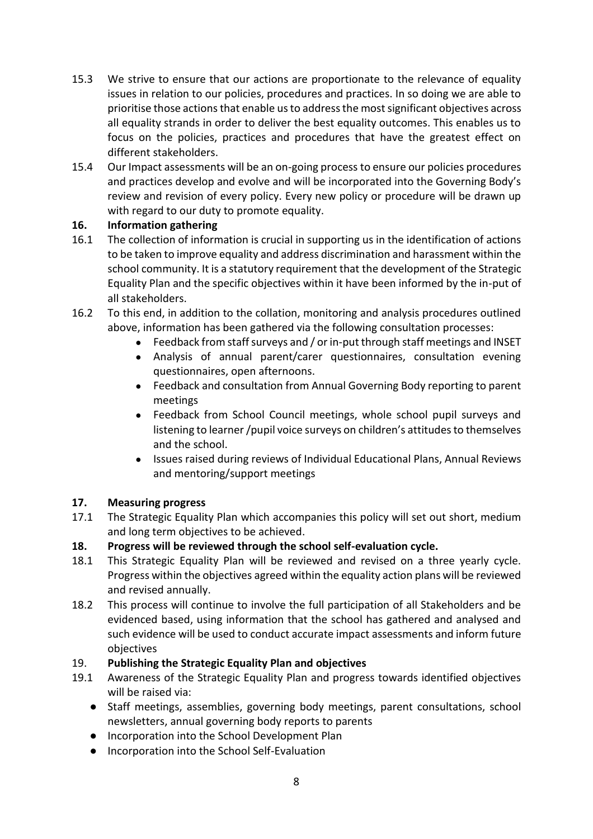- 15.3 We strive to ensure that our actions are proportionate to the relevance of equality issues in relation to our policies, procedures and practices. In so doing we are able to prioritise those actions that enable us to address the most significant objectives across all equality strands in order to deliver the best equality outcomes. This enables us to focus on the policies, practices and procedures that have the greatest effect on different stakeholders.
- 15.4 Our Impact assessments will be an on-going process to ensure our policies procedures and practices develop and evolve and will be incorporated into the Governing Body's review and revision of every policy. Every new policy or procedure will be drawn up with regard to our duty to promote equality.

#### **16. Information gathering**

- 16.1 The collection of information is crucial in supporting us in the identification of actions to be taken to improve equality and address discrimination and harassment within the school community. It is a statutory requirement that the development of the Strategic Equality Plan and the specific objectives within it have been informed by the in-put of all stakeholders.
- 16.2 To this end, in addition to the collation, monitoring and analysis procedures outlined above, information has been gathered via the following consultation processes:
	- Feedback from staff surveys and / or in-put through staff meetings and INSET
	- Analysis of annual parent/carer questionnaires, consultation evening questionnaires, open afternoons.
	- Feedback and consultation from Annual Governing Body reporting to parent meetings
	- Feedback from School Council meetings, whole school pupil surveys and listening to learner /pupil voice surveys on children's attitudes to themselves and the school.
	- Issues raised during reviews of Individual Educational Plans, Annual Reviews and mentoring/support meetings

## **17. Measuring progress**

- 17.1 The Strategic Equality Plan which accompanies this policy will set out short, medium and long term objectives to be achieved.
- **18. Progress will be reviewed through the school self-evaluation cycle.**
- 18.1 This Strategic Equality Plan will be reviewed and revised on a three yearly cycle. Progress within the objectives agreed within the equality action plans will be reviewed and revised annually.
- 18.2 This process will continue to involve the full participation of all Stakeholders and be evidenced based, using information that the school has gathered and analysed and such evidence will be used to conduct accurate impact assessments and inform future objectives

## 19. **Publishing the Strategic Equality Plan and objectives**

- 19.1 Awareness of the Strategic Equality Plan and progress towards identified objectives will be raised via:
	- Staff meetings, assemblies, governing body meetings, parent consultations, school newsletters, annual governing body reports to parents
	- Incorporation into the School Development Plan
	- Incorporation into the School Self-Evaluation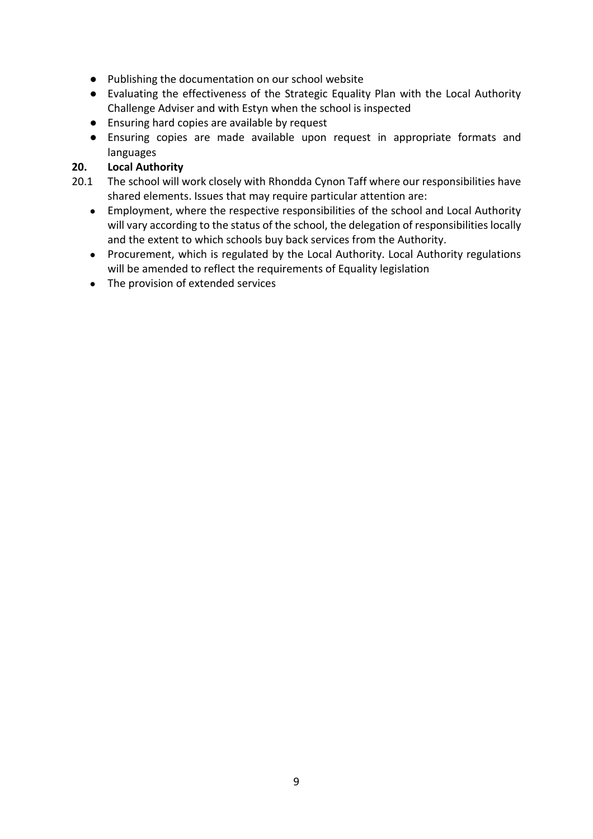- Publishing the documentation on our school website
- Evaluating the effectiveness of the Strategic Equality Plan with the Local Authority Challenge Adviser and with Estyn when the school is inspected
- Ensuring hard copies are available by request
- Ensuring copies are made available upon request in appropriate formats and languages

#### **20. Local Authority**

- 20.1 The school will work closely with Rhondda Cynon Taff where our responsibilities have shared elements. Issues that may require particular attention are:
	- Employment, where the respective responsibilities of the school and Local Authority will vary according to the status of the school, the delegation of responsibilities locally and the extent to which schools buy back services from the Authority.
	- Procurement, which is regulated by the Local Authority. Local Authority regulations will be amended to reflect the requirements of Equality legislation
	- The provision of extended services